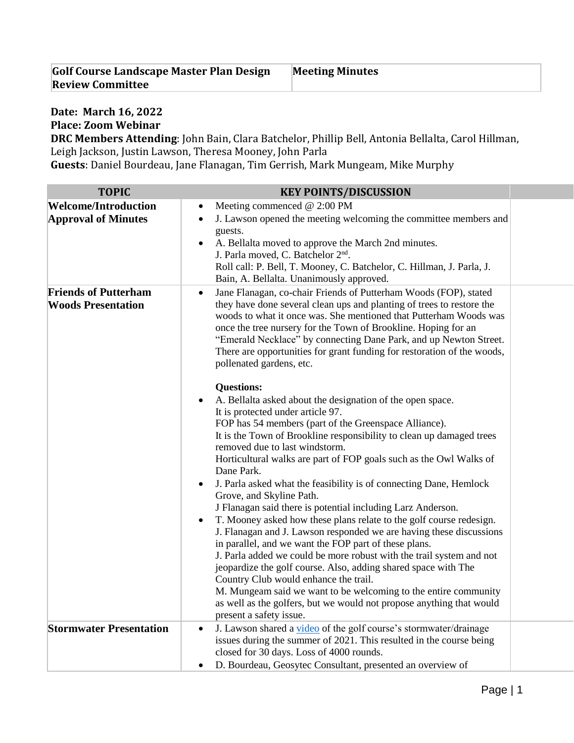| Golf Course Landscape Master Plan Design | <b>Meeting Minutes</b> |
|------------------------------------------|------------------------|
| <b>Review Committee</b>                  |                        |

## **Date: March 16, 2022 Place: Zoom Webinar**

**DRC Members Attending**: John Bain, Clara Batchelor, Phillip Bell, Antonia Bellalta, Carol Hillman, Leigh Jackson, Justin Lawson, Theresa Mooney, John Parla

**Guests**: Daniel Bourdeau, Jane Flanagan, Tim Gerrish, Mark Mungeam, Mike Murphy

| <b>TOPIC</b>                                              | <b>KEY POINTS/DISCUSSION</b>                                                                                                                                                                                                                                                                                                                                                                                                                                                                                                                                                                                                                                                                                                                                                                                                                                                                                                                                                                                                                                                                                                                                                                                                                                                                                                                                                                                                                                                                                                                                                                        |
|-----------------------------------------------------------|-----------------------------------------------------------------------------------------------------------------------------------------------------------------------------------------------------------------------------------------------------------------------------------------------------------------------------------------------------------------------------------------------------------------------------------------------------------------------------------------------------------------------------------------------------------------------------------------------------------------------------------------------------------------------------------------------------------------------------------------------------------------------------------------------------------------------------------------------------------------------------------------------------------------------------------------------------------------------------------------------------------------------------------------------------------------------------------------------------------------------------------------------------------------------------------------------------------------------------------------------------------------------------------------------------------------------------------------------------------------------------------------------------------------------------------------------------------------------------------------------------------------------------------------------------------------------------------------------------|
| <b>Welcome/Introduction</b><br><b>Approval of Minutes</b> | Meeting commenced @ 2:00 PM<br>$\bullet$<br>J. Lawson opened the meeting welcoming the committee members and<br>$\bullet$<br>guests.<br>A. Bellalta moved to approve the March 2nd minutes.<br>$\bullet$<br>J. Parla moved, C. Batchelor 2 <sup>nd</sup> .<br>Roll call: P. Bell, T. Mooney, C. Batchelor, C. Hillman, J. Parla, J.<br>Bain, A. Bellalta. Unanimously approved.                                                                                                                                                                                                                                                                                                                                                                                                                                                                                                                                                                                                                                                                                                                                                                                                                                                                                                                                                                                                                                                                                                                                                                                                                     |
| <b>Friends of Putterham</b><br><b>Woods Presentation</b>  | Jane Flanagan, co-chair Friends of Putterham Woods (FOP), stated<br>$\bullet$<br>they have done several clean ups and planting of trees to restore the<br>woods to what it once was. She mentioned that Putterham Woods was<br>once the tree nursery for the Town of Brookline. Hoping for an<br>"Emerald Necklace" by connecting Dane Park, and up Newton Street.<br>There are opportunities for grant funding for restoration of the woods,<br>pollenated gardens, etc.<br><b>Questions:</b><br>A. Bellalta asked about the designation of the open space.<br>٠<br>It is protected under article 97.<br>FOP has 54 members (part of the Greenspace Alliance).<br>It is the Town of Brookline responsibility to clean up damaged trees<br>removed due to last windstorm.<br>Horticultural walks are part of FOP goals such as the Owl Walks of<br>Dane Park.<br>J. Parla asked what the feasibility is of connecting Dane, Hemlock<br>Grove, and Skyline Path.<br>J Flanagan said there is potential including Larz Anderson.<br>T. Mooney asked how these plans relate to the golf course redesign.<br>٠<br>J. Flanagan and J. Lawson responded we are having these discussions<br>in parallel, and we want the FOP part of these plans.<br>J. Parla added we could be more robust with the trail system and not<br>jeopardize the golf course. Also, adding shared space with The<br>Country Club would enhance the trail.<br>M. Mungeam said we want to be welcoming to the entire community<br>as well as the golfers, but we would not propose anything that would<br>present a safety issue. |
| <b>Stormwater Presentation</b>                            | J. Lawson shared a video of the golf course's stormwater/drainage<br>٠<br>issues during the summer of 2021. This resulted in the course being<br>closed for 30 days. Loss of 4000 rounds.<br>D. Bourdeau, Geosytec Consultant, presented an overview of<br>$\bullet$                                                                                                                                                                                                                                                                                                                                                                                                                                                                                                                                                                                                                                                                                                                                                                                                                                                                                                                                                                                                                                                                                                                                                                                                                                                                                                                                |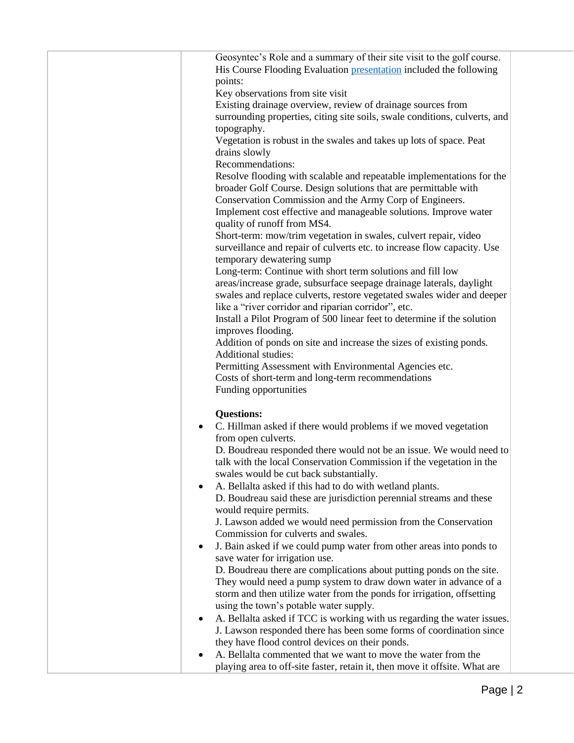|   | Geosyntec's Role and a summary of their site visit to the golf course.     |
|---|----------------------------------------------------------------------------|
|   | His Course Flooding Evaluation presentation included the following         |
|   | points:                                                                    |
|   | Key observations from site visit                                           |
|   | Existing drainage overview, review of drainage sources from                |
|   | surrounding properties, citing site soils, swale conditions, culverts, and |
|   |                                                                            |
|   | topography.                                                                |
|   | Vegetation is robust in the swales and takes up lots of space. Peat        |
|   | drains slowly                                                              |
|   | Recommendations:                                                           |
|   | Resolve flooding with scalable and repeatable implementations for the      |
|   | broader Golf Course. Design solutions that are permittable with            |
|   | Conservation Commission and the Army Corp of Engineers.                    |
|   | Implement cost effective and manageable solutions. Improve water           |
|   | quality of runoff from MS4.                                                |
|   | Short-term: mow/trim vegetation in swales, culvert repair, video           |
|   | surveillance and repair of culverts etc. to increase flow capacity. Use    |
|   | temporary dewatering sump                                                  |
|   | Long-term: Continue with short term solutions and fill low                 |
|   | areas/increase grade, subsurface seepage drainage laterals, daylight       |
|   |                                                                            |
|   | swales and replace culverts, restore vegetated swales wider and deeper     |
|   | like a "river corridor and riparian corridor", etc.                        |
|   | Install a Pilot Program of 500 linear feet to determine if the solution    |
|   | improves flooding.                                                         |
|   | Addition of ponds on site and increase the sizes of existing ponds.        |
|   | <b>Additional studies:</b>                                                 |
|   | Permitting Assessment with Environmental Agencies etc.                     |
|   | Costs of short-term and long-term recommendations                          |
|   | Funding opportunities                                                      |
|   |                                                                            |
|   | <b>Questions:</b>                                                          |
|   | C. Hillman asked if there would problems if we moved vegetation            |
|   | from open culverts.                                                        |
|   | D. Boudreau responded there would not be an issue. We would need to        |
|   | talk with the local Conservation Commission if the vegetation in the       |
|   | swales would be cut back substantially.                                    |
|   |                                                                            |
|   | A. Bellalta asked if this had to do with wetland plants.                   |
|   | D. Boudreau said these are jurisdiction perennial streams and these        |
|   | would require permits.                                                     |
|   | J. Lawson added we would need permission from the Conservation             |
|   | Commission for culverts and swales.                                        |
| ٠ | J. Bain asked if we could pump water from other areas into ponds to        |
|   | save water for irrigation use.                                             |
|   | D. Boudreau there are complications about putting ponds on the site.       |
|   | They would need a pump system to draw down water in advance of a           |
|   |                                                                            |
|   | storm and then utilize water from the ponds for irrigation, offsetting     |
|   | using the town's potable water supply.                                     |
| ٠ | A. Bellalta asked if TCC is working with us regarding the water issues.    |
|   | J. Lawson responded there has been some forms of coordination since        |
|   | they have flood control devices on their ponds.                            |
|   |                                                                            |
|   | A. Bellalta commented that we want to move the water from the              |